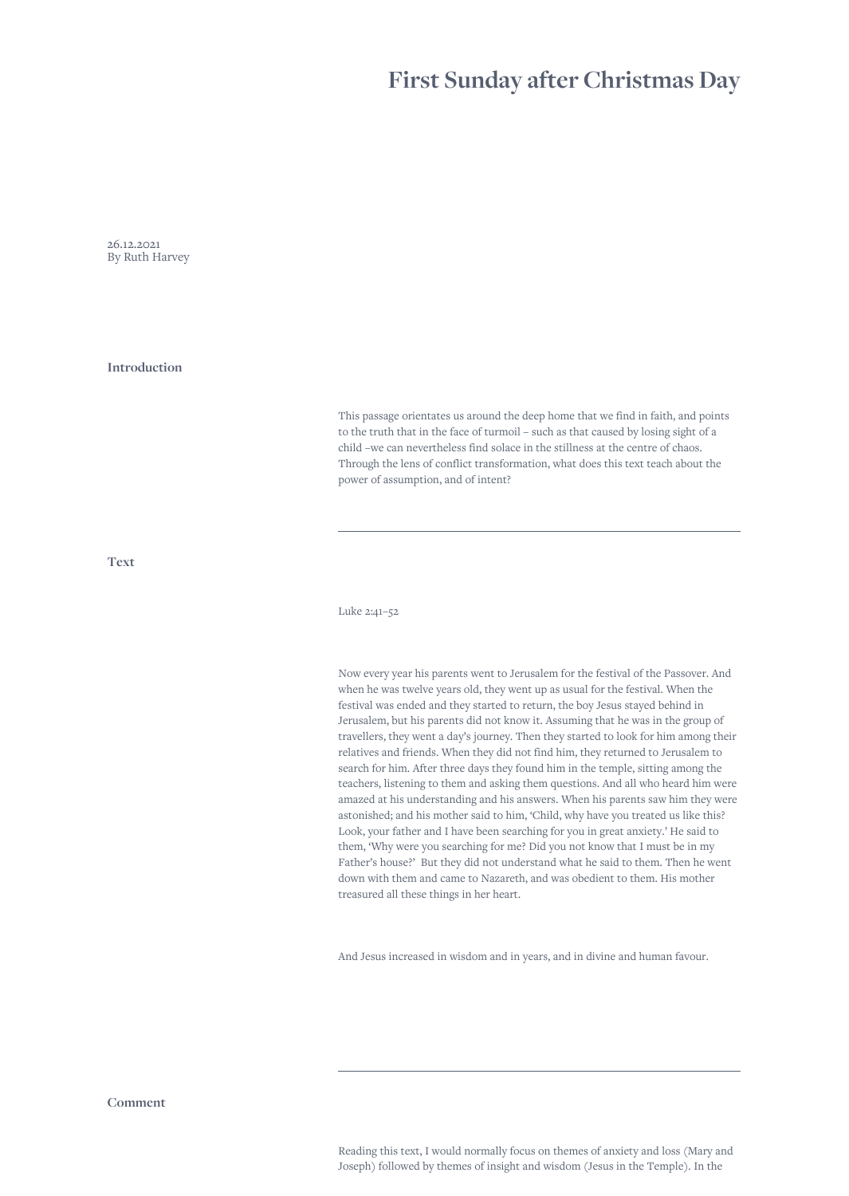## **First Sunday after Christmas Day**

26.12.2021 By Ruth Harvey

**Introduction**

This passage orientates us around the deep home that we find in faith, and points to the truth that in the face of turmoil – such as that caused by losing sight of a child –we can nevertheless find solace in the stillness at the centre of chaos. Through the lens of conflict transformation, what does this text teach about the power of assumption, and of intent?

**Text**

Luke 2:41–52

Now every year his parents went to Jerusalem for the festival of the Passover. And when he was twelve years old, they went up as usual for the festival. When the festival was ended and they started to return, the boy Jesus stayed behind in Jerusalem, but his parents did not know it. Assuming that he was in the group of travellers, they went a day's journey. Then they started to look for him among their relatives and friends. When they did not find him, they returned to Jerusalem to search for him. After three days they found him in the temple, sitting among the teachers, listening to them and asking them questions. And all who heard him were amazed at his understanding and his answers. When his parents saw him they were astonished; and his mother said to him, 'Child, why have you treated us like this? Look, your father and I have been searching for you in great anxiety.' He said to them, 'Why were you searching for me? Did you not know that I must be in my Father's house?' But they did not understand what he said to them. Then he went down with them and came to Nazareth, and was obedient to them. His mother treasured all these things in her heart.

And Jesus increased in wisdom and in years, and in divine and human favour.

**Comment**

Reading this text, I would normally focus on themes of anxiety and loss (Mary and Joseph) followed by themes of insight and wisdom (Jesus in the Temple). In the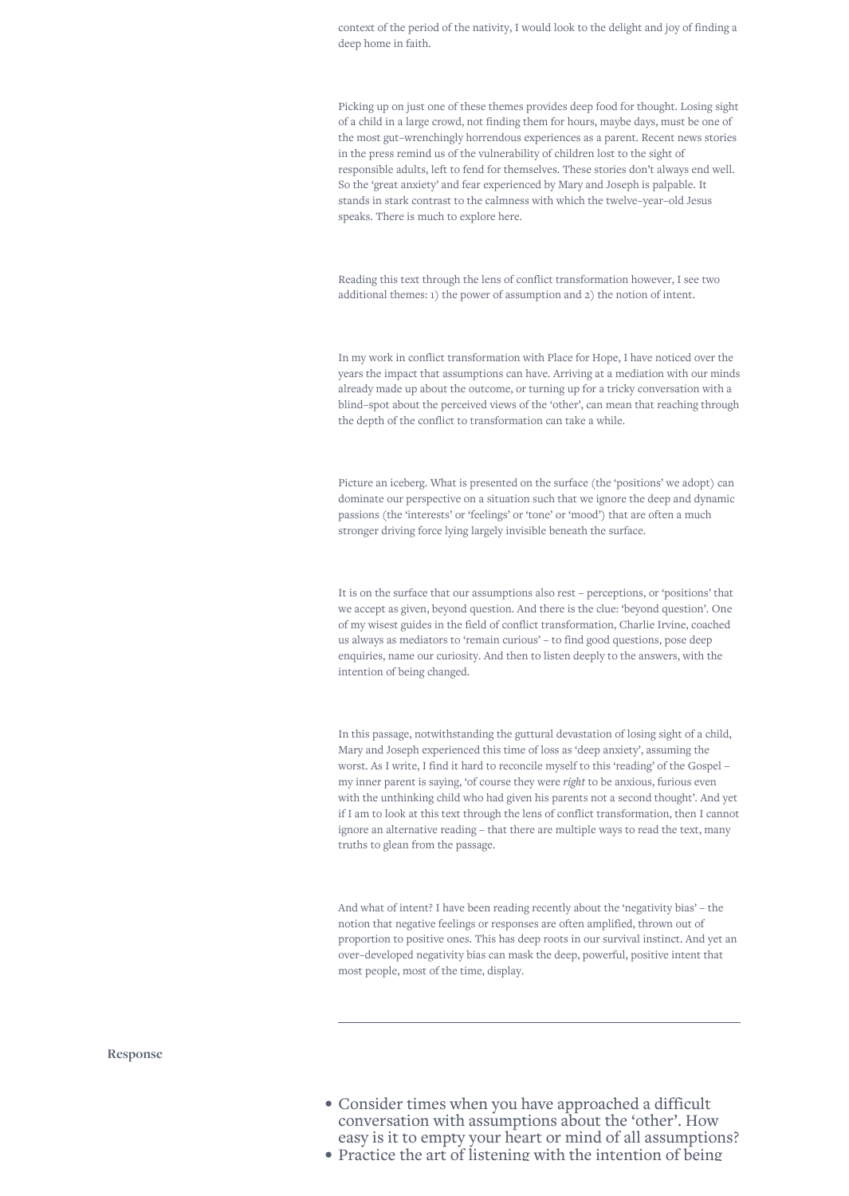context of the period of the nativity, I would look to the delight and joy of finding a deep home in faith.

Picking up on just one of these themes provides deep food for thought. Losing sight of a child in a large crowd, not finding them for hours, maybe days, must be one of the most gut–wrenchingly horrendous experiences as a parent. Recent news stories in the press remind us of the vulnerability of children lost to the sight of responsible adults, left to fend for themselves. These stories don't always end well. So the 'great anxiety' and fear experienced by Mary and Joseph is palpable. It stands in stark contrast to the calmness with which the twelve–year–old Jesus speaks. There is much to explore here.

Reading this text through the lens of conflict transformation however, I see two additional themes: 1) the power of assumption and 2) the notion of intent.

In my work in conflict transformation with Place for Hope, I have noticed over the years the impact that assumptions can have. Arriving at a mediation with our minds already made up about the outcome, or turning up for a tricky conversation with a blind–spot about the perceived views of the 'other', can mean that reaching through the depth of the conflict to transformation can take a while.

Picture an iceberg. What is presented on the surface (the 'positions' we adopt) can dominate our perspective on a situation such that we ignore the deep and dynamic passions (the 'interests' or 'feelings' or 'tone' or 'mood') that are often a much stronger driving force lying largely invisible beneath the surface.

It is on the surface that our assumptions also rest – perceptions, or 'positions' that we accept as given, beyond question. And there is the clue: 'beyond question'. One of my wisest guides in the field of conflict transformation, Charlie Irvine, coached us always as mediators to 'remain curious' – to find good questions, pose deep enquiries, name our curiosity. And then to listen deeply to the answers, with the intention of being changed.

In this passage, notwithstanding the guttural devastation of losing sight of a child, Mary and Joseph experienced this time of loss as 'deep anxiety', assuming the worst. As I write, I find it hard to reconcile myself to this 'reading' of the Gospel – my inner parent is saying, 'of course they were *right* to be anxious, furious even with the unthinking child who had given his parents not a second thought'. And yet if I am to look at this text through the lens of conflict transformation, then I cannot ignore an alternative reading – that there are multiple ways to read the text, many truths to glean from the passage.

And what of intent? I have been reading recently about the 'negativity bias' – the notion that negative feelings or responses are often amplified, thrown out of proportion to positive ones. This has deep roots in our survival instinct. And yet an over–developed negativity bias can mask the deep, powerful, positive intent that most people, most of the time, display.

**Response**

- Consider times when you have approached a difficult conversation with assumptions about the 'other'. How easy is it to empty your heart or mind of all assumptions?
- Practice the art of listening with the intention of being